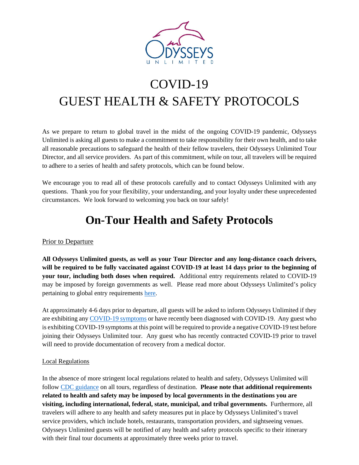

# COVID-19 GUEST HEALTH & SAFETY PROTOCOLS

As we prepare to return to global travel in the midst of the ongoing COVID-19 pandemic, Odysseys Unlimited is asking all guests to make a commitment to take responsibility for their own health, and to take all reasonable precautions to safeguard the health of their fellow travelers, their Odysseys Unlimited Tour Director, and all service providers. As part of this commitment, while on tour, all travelers will be required to adhere to a series of health and safety protocols, which can be found below.

We encourage you to read all of these protocols carefully and to contact Odysseys Unlimited with any questions. Thank you for your flexibility, your understanding, and your loyalty under these unprecedented circumstances. We look forward to welcoming you back on tour safely!

## **On-Tour Health and Safety Protocols**

### Prior to Departure

**All Odysseys Unlimited guests, as well as your Tour Director and any long-distance coach drivers, will be required to be fully vaccinated against COVID-19 at least 14 days prior to the beginning of your tour, including both doses when required.** Additional entry requirements related to COVID-19 may be imposed by foreign governments as well. Please read more about Odysseys Unlimited's policy pertaining to global entry requirements [here.](https://odysseys-unlimited.com/travel-update/)

At approximately 4-6 days prior to departure, all guests will be asked to inform Odysseys Unlimited if they are exhibiting any [COVID-19 symptoms](https://www.cdc.gov/coronavirus/2019-ncov/symptoms-testing/symptoms.html) or have recently been diagnosed with COVID-19. Any guest who is exhibiting COVID-19 symptoms at this point will be required to provide a negative COVID-19 test before joining their Odysseys Unlimited tour. Any guest who has recently contracted COVID-19 prior to travel will need to provide documentation of recovery from a medical doctor.

#### Local Regulations

In the absence of more stringent local regulations related to health and safety, Odysseys Unlimited will follow [CDC guidance](https://www.cdc.gov/coronavirus/2019-ncov/vaccines/fully-vaccinated-guidance.html) on all tours, regardless of destination. **Please note that additional requirements related to health and safety may be imposed by local governments in the destinations you are visiting, including international, federal, state, municipal, and tribal governments.** Furthermore, all travelers will adhere to any health and safety measures put in place by Odysseys Unlimited's travel service providers, which include hotels, restaurants, transportation providers, and sightseeing venues. Odysseys Unlimited guests will be notified of any health and safety protocols specific to their itinerary with their final tour documents at approximately three weeks prior to travel.